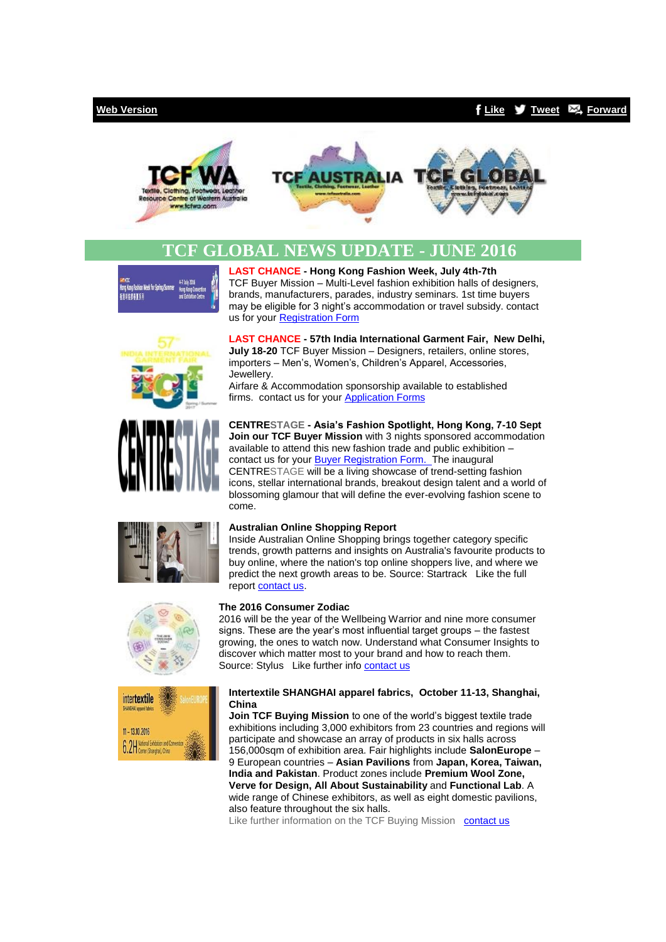## **[Web Version](http://bbec.bridgewaymailer.com/t/j-e-ktnkkl-cfliira-y/) [Like](http://bbec.bridgewaymailer.com/t/j-fb-ktnkkl-cfliira-h/) [Tweet](http://bbec.bridgewaymailer.com/t/j-tw-ktnkkl-cfliira-u/) [Forward](http://belmontbec.forwardtomyfriend.com/j-cfliira-32345081-ktnkkl-l-b)**





# **TCF GLOBAL NEWS UPDATE - JUNE 2016**

chinn Wook for String/Summe Hong Kong Fashion<br>香港時装館春夏系列

TCF Buyer Mission – Multi-Level fashion exhibition halls of designers, brands, manufacturers, parades, industry seminars. 1st time buyers may be eligible for 3 night's accommodation or travel subsidy. contact us for you[r Registration Form](mailto:events@tcfwa.com?subject=R%3A%20Hong%20Kong%20Fashion%20Week%2C%20July%204th-7th)

**LAST CHANCE - Hong Kong Fashion Week, July 4th-7th**





**LAST CHANCE - 57th India International Garment Fair, New Delhi, July 18-20** TCF Buyer Mission – Designers, retailers, online stores, importers – Men's, Women's, Children's Apparel, Accessories, Jewellery.

Airfare & Accommodation sponsorship available to established firms. contact us for your **Application Forms** 

**CENTRESTAGE - Asia's Fashion Spotlight, Hong Kong, 7-10 Sept Join our TCF Buver Mission** with 3 nights sponsored accommodation available to attend this new fashion trade and public exhibition – contact us for your [Buyer Registration Form.](mailto:events@tcfwa.com?subject=Re%3A%20Buyer%20Registration%20Form%20-%20CENTRESTAGE%20-%20Asia%E2%80%99s%20Fashion%20Spotlight%2C%20Hong%20Kong%2C%207-10%20Sept) The inaugural CENTRESTAGE will be a living showcase of trend-setting fashion icons, stellar international brands, breakout design talent and a world of blossoming glamour that will define the ever-evolving fashion scene to come.



### **Australian Online Shopping Report**

Inside Australian Online Shopping brings together category specific trends, growth patterns and insights on Australia's favourite products to buy online, where the nation's top online shoppers live, and where we predict the next growth areas to be. Source: Startrack Like the full repor[t contact us.](mailto:training@belmontbec.com?subject=Re%3A%20Australian%20Online%20Shopping%20Report)





**The 2016 Consumer Zodiac**

2016 will be the year of the Wellbeing Warrior and nine more consumer signs. These are the year's most influential target groups – the fastest growing, the ones to watch now. Understand what Consumer Insights to discover which matter most to your brand and how to reach them. Source: Stylus Like further inf[o contact us](mailto:training@belmontbec.com?subject=Re%3A%20The%202016%20Consumer%20Zodiac)

### **Intertextile SHANGHAI apparel fabrics, October 11-13, Shanghai, China**

**Join TCF Buying Mission** to one of the world's biggest textile trade exhibitions including 3,000 exhibitors from 23 countries and regions will participate and showcase an array of products in six halls across 156,000sqm of exhibition area. Fair highlights include **SalonEurope** – 9 European countries – **Asian Pavilions** from **Japan, Korea, Taiwan, India and Pakistan**. Product zones include **Premium Wool Zone, Verve for Design, All About Sustainability** and **Functional Lab**. A wide range of Chinese exhibitors, as well as eight domestic pavilions, also feature throughout the six halls.

Like further information on the TCF Buving Mission [contact us](mailto:events@tcfwa.com?subject=R%3A%20%20information%20on%20the%20TCF%20Buying%20Mission)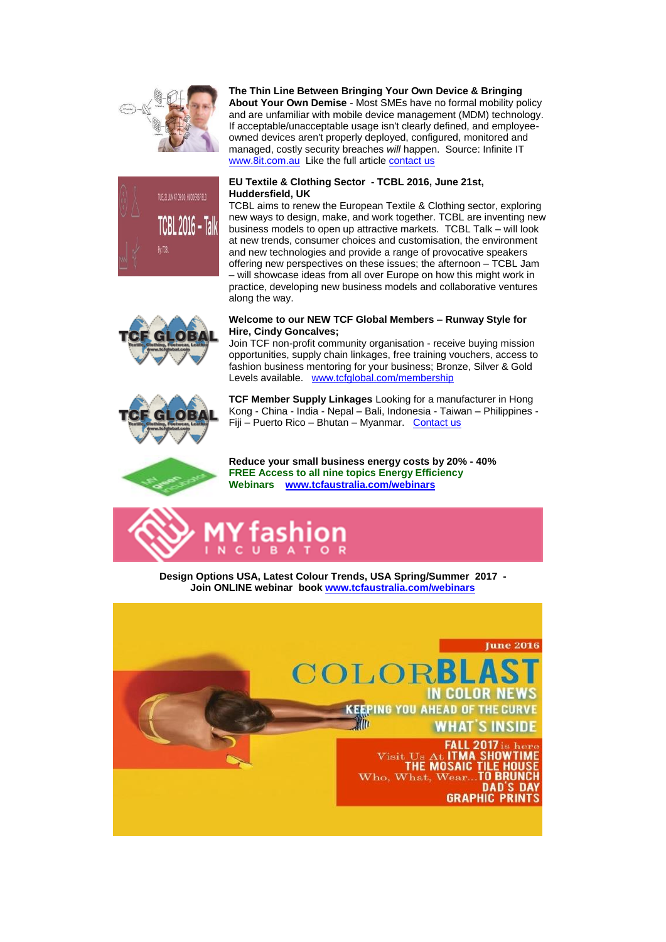



# **The Thin Line Between Bringing Your Own Device & Bringing**

**About Your Own Demise** - Most SMEs have no formal mobility policy and are unfamiliar with mobile device management (MDM) technology. If acceptable/unacceptable usage isn't clearly defined, and employeeowned devices aren't properly deployed, configured, monitored and managed, costly security breaches *will* happen. Source: Infinite IT [www.8it.com.au](http://bbec.bridgewaymailer.com/t/j-l-ktnkkl-cfliira-p/) Like the full articl[e contact us](mailto:support@belmontbec.com?subject=Re%3A%20The%20Thin%20Line%20Between%20Bringing%20Your%20Own%20Device%20%26%20Bringing%20About%20Your%20Own%20Demise)

### **EU Textile & Clothing Sector - TCBL 2016, June 21st, Huddersfield, UK**

TCBL aims to renew the European Textile & Clothing sector, exploring new ways to design, make, and work together. TCBL are inventing new business models to open up attractive markets. TCBL Talk – will look at new trends, consumer choices and customisation, the environment and new technologies and provide a range of provocative speakers offering new perspectives on these issues; the afternoon – TCBL Jam – will showcase ideas from all over Europe on how this might work in practice, developing new business models and collaborative ventures along the way.



### **Welcome to our NEW TCF Global Members – Runway Style for Hire, Cindy Goncalves;**

Join TCF non-profit community organisation - receive buying mission opportunities, supply chain linkages, free training vouchers, access to fashion business mentoring for your business; Bronze, Silver & Gold Levels available. [www.tcfglobal.com/membership](http://bbec.bridgewaymailer.com/t/j-l-ktnkkl-cfliira-x/)



**TCF Member Supply Linkages** Looking for a manufacturer in Hong Kong - China - India - Nepal – Bali, Indonesia - Taiwan – Philippines - Fiji – Puerto Rico – Bhutan – Myanmar. [Contact us](mailto:support@tcfwa.com?subject=Re%3A%20TCF%20Member%20Supply%20Linkages)

**Reduce your small business energy costs by 20% - 40% FREE Access to all nine topics Energy Efficiency Webinars [www.tcfaustralia.com/webinars](http://bbec.bridgewaymailer.com/t/j-l-ktnkkl-cfliira-m/)**



**Design Options USA, Latest Colour Trends, USA Spring/Summer 2017 - Join ONLINE webinar book [www.tcfaustralia.com/webinars](http://bbec.bridgewaymailer.com/t/j-l-ktnkkl-cfliira-c/)**

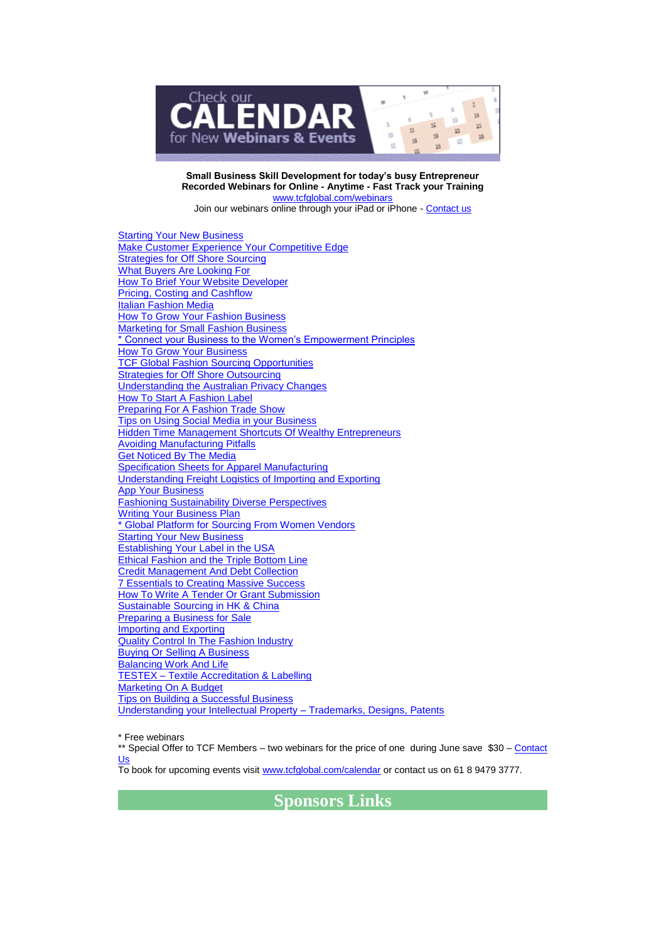

**Small Business Skill Development for today's busy Entrepreneur Recorded Webinars for Online - Anytime - Fast Track your Training** [www.tcfglobal.com/webinars](http://bbec.bridgewaymailer.com/t/j-l-ktnkkl-cfliira-q/)

Join our webinars online through your iPad or iPhone - [Contact us](mailto:support@belmontbec.com?subject=Question%20-%20how%20to%20access%20the%20webinar%20on%20iPad%20or%20iPhone)

[Starting Your New Business](http://bbec.bridgewaymailer.com/t/j-l-ktnkkl-cfliira-a/) [Make Customer Experience Your Competitive Edge](http://bbec.bridgewaymailer.com/t/j-l-ktnkkl-cfliira-a/) **[Strategies for Off Shore Sourcing](http://bbec.bridgewaymailer.com/t/j-l-ktnkkl-cfliira-a/)** [What Buyers Are Looking For](http://bbec.bridgewaymailer.com/t/j-l-ktnkkl-cfliira-a/) [How To Brief Your Website Developer](http://bbec.bridgewaymailer.com/t/j-l-ktnkkl-cfliira-a/) [Pricing, Costing and Cashflow](http://bbec.bridgewaymailer.com/t/j-l-ktnkkl-cfliira-a/) [Italian Fashion Media](http://bbec.bridgewaymailer.com/t/j-l-ktnkkl-cfliira-a/) [How To Grow Your Fashion Business](http://bbec.bridgewaymailer.com/t/j-l-ktnkkl-cfliira-a/) [Marketing for Small Fashion Business](http://bbec.bridgewaymailer.com/t/j-l-ktnkkl-cfliira-a/) [\\* Connect your Business to the Women's Empowerment Principles](http://bbec.bridgewaymailer.com/t/j-l-ktnkkl-cfliira-a/) [How To Grow Your Business](http://bbec.bridgewaymailer.com/t/j-l-ktnkkl-cfliira-a/) **[TCF Global Fashion Sourcing Opportunities](http://bbec.bridgewaymailer.com/t/j-l-ktnkkl-cfliira-a/) [Strategies for Off Shore Outsourcing](http://bbec.bridgewaymailer.com/t/j-l-ktnkkl-cfliira-a/)** [Understanding the Australian Privacy Changes](http://bbec.bridgewaymailer.com/t/j-l-ktnkkl-cfliira-a/) [How To Start A Fashion Label](http://bbec.bridgewaymailer.com/t/j-l-ktnkkl-cfliira-a/) **[Preparing For A Fashion Trade Show](http://bbec.bridgewaymailer.com/t/j-l-ktnkkl-cfliira-a/)** [Tips on Using Social Media in your Business](http://bbec.bridgewaymailer.com/t/j-l-ktnkkl-cfliira-a/) **[Hidden Time Management Shortcuts Of Wealthy Entrepreneurs](http://bbec.bridgewaymailer.com/t/j-l-ktnkkl-cfliira-a/)** [Avoiding Manufacturing Pitfalls](http://bbec.bridgewaymailer.com/t/j-l-ktnkkl-cfliira-a/) [Get Noticed By The Media](http://bbec.bridgewaymailer.com/t/j-l-ktnkkl-cfliira-a/) [Specification Sheets for Apparel Manufacturing](http://bbec.bridgewaymailer.com/t/j-l-ktnkkl-cfliira-a/) [Understanding Freight Logistics of Importing and Exporting](http://bbec.bridgewaymailer.com/t/j-l-ktnkkl-cfliira-a/) **[App Your Business](http://bbec.bridgewaymailer.com/t/j-l-ktnkkl-cfliira-a/)** [Fashioning Sustainability Diverse Perspectives](http://bbec.bridgewaymailer.com/t/j-l-ktnkkl-cfliira-a/) [Writing Your Business Plan](http://bbec.bridgewaymailer.com/t/j-l-ktnkkl-cfliira-a/) [\\* Global Platform for Sourcing From Women Vendors](http://bbec.bridgewaymailer.com/t/j-l-ktnkkl-cfliira-a/) [Starting Your New Business](http://bbec.bridgewaymailer.com/t/j-l-ktnkkl-cfliira-a/) [Establishing Your Label in the USA](http://bbec.bridgewaymailer.com/t/j-l-ktnkkl-cfliira-a/) [Ethical Fashion and the Triple Bottom Line](http://bbec.bridgewaymailer.com/t/j-l-ktnkkl-cfliira-a/) [Credit Management And Debt Collection](http://bbec.bridgewaymailer.com/t/j-l-ktnkkl-cfliira-a/) [7 Essentials to Creating Massive Success](http://bbec.bridgewaymailer.com/t/j-l-ktnkkl-cfliira-a/) [How To Write A Tender Or Grant Submission](http://bbec.bridgewaymailer.com/t/j-l-ktnkkl-cfliira-a/) [Sustainable Sourcing in HK & China](http://bbec.bridgewaymailer.com/t/j-l-ktnkkl-cfliira-a/) Preparing [a Business for Sale](http://bbec.bridgewaymailer.com/t/j-l-ktnkkl-cfliira-a/) [Importing and Exporting](http://bbec.bridgewaymailer.com/t/j-l-ktnkkl-cfliira-a/) [Quality Control In The Fashion Industry](http://bbec.bridgewaymailer.com/t/j-l-ktnkkl-cfliira-a/) [Buying Or Selling A Business](http://bbec.bridgewaymailer.com/t/j-l-ktnkkl-cfliira-a/) [Balancing Work And Life](http://bbec.bridgewaymailer.com/t/j-l-ktnkkl-cfliira-a/) TESTEX – [Textile Accreditation & Labelling](http://bbec.bridgewaymailer.com/t/j-l-ktnkkl-cfliira-a/) [Marketing On A Budget](http://bbec.bridgewaymailer.com/t/j-l-ktnkkl-cfliira-a/) [Tips on Building a Successful Business](http://bbec.bridgewaymailer.com/t/j-l-ktnkkl-cfliira-a/) [Understanding your Intellectual Property –](http://bbec.bridgewaymailer.com/t/j-l-ktnkkl-cfliira-a/) Trademarks, Designs, Patents

\* Free webinars

\*\* Special Offer to TCF Members – two webinars for the price of one during June save \$30 – [Contact](mailto:training@belmontbec.com?subject=R%3A%20two%20webinars%20for%20the%20price%20of%20one)  [Us](mailto:training@belmontbec.com?subject=R%3A%20two%20webinars%20for%20the%20price%20of%20one)

To book for upcoming events visi[t www.tcfglobal.com/calendar](http://bbec.bridgewaymailer.com/t/j-l-ktnkkl-cfliira-f/) or contact us on 61 8 9479 3777.

**Sponsors Links**